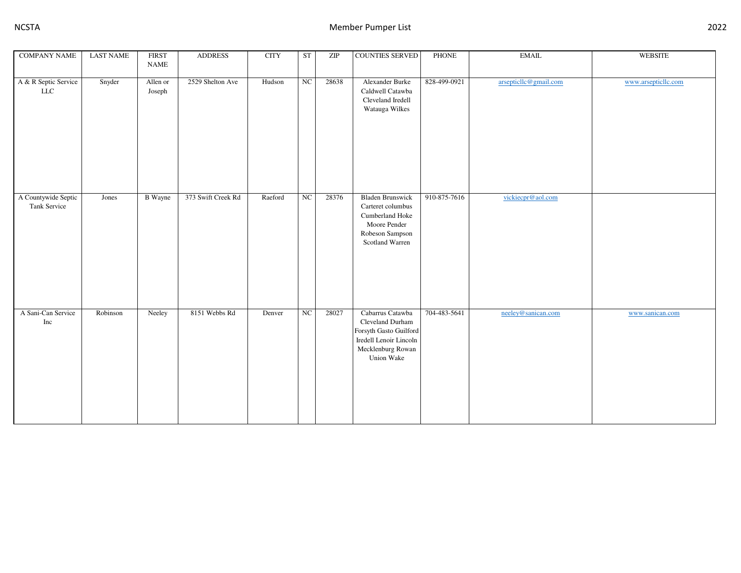| <b>COMPANY NAME</b>                 | <b>LAST NAME</b> | <b>FIRST</b><br><b>NAME</b> | <b>ADDRESS</b>     | <b>CITY</b> | ST               | $\ensuremath{\mathrm{ZIP}}$ | <b>COUNTIES SERVED</b>                                                                                                      | PHONE        | <b>EMAIL</b>          | <b>WEBSITE</b>      |
|-------------------------------------|------------------|-----------------------------|--------------------|-------------|------------------|-----------------------------|-----------------------------------------------------------------------------------------------------------------------------|--------------|-----------------------|---------------------|
|                                     |                  |                             |                    |             |                  |                             |                                                                                                                             |              |                       |                     |
| A & R Septic Service<br>${\rm LLC}$ | Snyder           | Allen or<br>Joseph          | 2529 Shelton Ave   | Hudson      | $_{\mathrm{NC}}$ | 28638                       | Alexander Burke<br>Caldwell Catawba<br>Cleveland Iredell<br>Watauga Wilkes                                                  | 828-499-0921 | arsepticllc@gmail.com | www.arsepticllc.com |
| A Countywide Septic<br>Tank Service | Jones            | <b>B</b> Wayne              | 373 Swift Creek Rd | Raeford     | $_{\mathrm{NC}}$ | 28376                       | <b>Bladen Brunswick</b><br>Carteret columbus<br>Cumberland Hoke<br>Moore Pender<br>Robeson Sampson<br>Scotland Warren       | 910-875-7616 | vickiecpr@aol.com     |                     |
| A Sani-Can Service<br>Inc           | Robinson         | Neeley                      | 8151 Webbs Rd      | Denver      | $_{\mathrm{NC}}$ | 28027                       | Cabarrus Catawba<br>Cleveland Durham<br>Forsyth Gasto Guilford<br>Iredell Lenoir Lincoln<br>Mecklenburg Rowan<br>Union Wake | 704-483-5641 | neeley@sanican.com    | www.sanican.com     |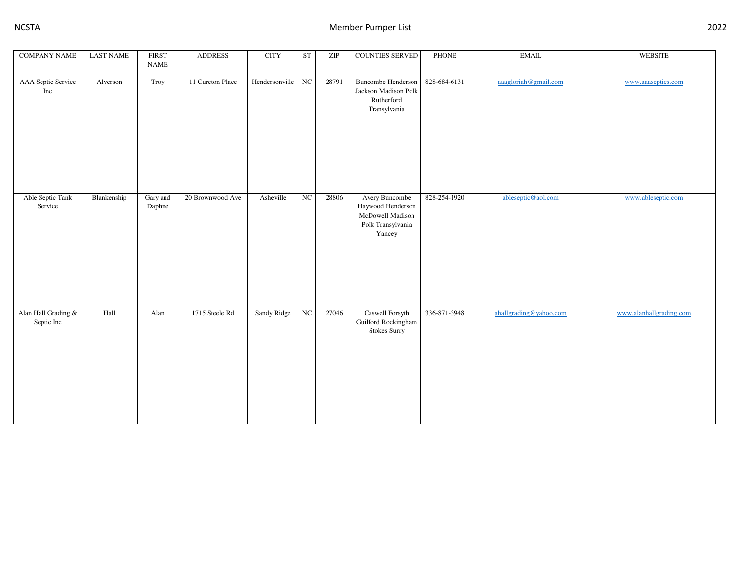| <b>COMPANY NAME</b>               | <b>LAST NAME</b> | <b>FIRST</b><br><b>NAME</b> | <b>ADDRESS</b>   | <b>CITY</b>    | <b>ST</b>   | $\ensuremath{\mathrm{ZIP}}$ | <b>COUNTIES SERVED</b>                                                                 | <b>PHONE</b> | <b>EMAIL</b>           | <b>WEBSITE</b>          |
|-----------------------------------|------------------|-----------------------------|------------------|----------------|-------------|-----------------------------|----------------------------------------------------------------------------------------|--------------|------------------------|-------------------------|
| AAA Septic Service<br>Inc         | Alverson         | Troy                        | 11 Cureton Place | Hendersonville | $_{\rm NC}$ | 28791                       | <b>Buncombe Henderson</b><br>Jackson Madison Polk<br>Rutherford<br>Transylvania        | 828-684-6131 | aaagloriah@gmail.com   | www.aaaseptics.com      |
| Able Septic Tank<br>Service       | Blankenship      | Gary and<br>Daphne          | 20 Brownwood Ave | Asheville      | $\rm NC$    | 28806                       | Avery Buncombe<br>Haywood Henderson<br>McDowell Madison<br>Polk Transylvania<br>Yancey | 828-254-1920 | ableseptic@aol.com     | www.ableseptic.com      |
| Alan Hall Grading &<br>Septic Inc | Hall             | Alan                        | 1715 Steele Rd   | Sandy Ridge    | $_{\rm NC}$ | 27046                       | Caswell Forsyth<br>Guilford Rockingham<br>Stokes Surry                                 | 336-871-3948 | ahallgrading@yahoo.com | www.alanhallgrading.com |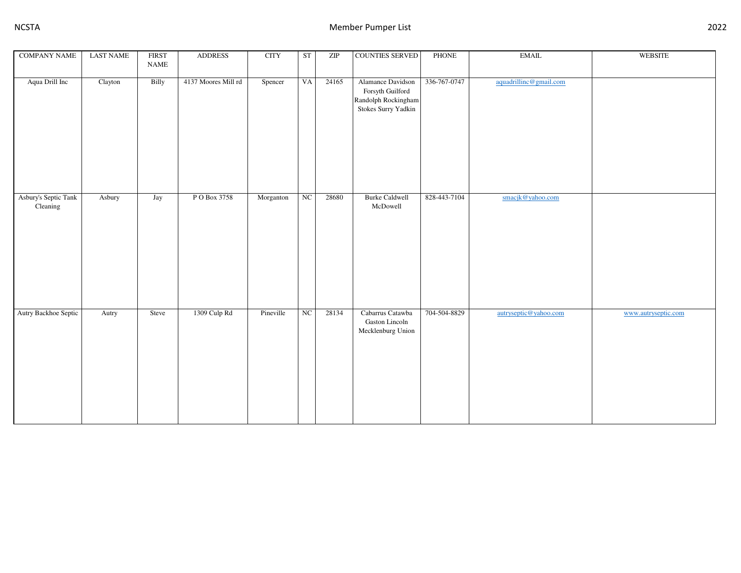| <b>COMPANY NAME</b>              | <b>LAST NAME</b> | <b>FIRST</b><br>$\ensuremath{\mathsf{NAME}}$ | <b>ADDRESS</b>      | $\rm CITY$ | ST          | ZIP   | <b>COUNTIES SERVED</b>                                                              | <b>PHONE</b> | <b>EMAIL</b>           | <b>WEBSITE</b>      |
|----------------------------------|------------------|----------------------------------------------|---------------------|------------|-------------|-------|-------------------------------------------------------------------------------------|--------------|------------------------|---------------------|
| Aqua Drill Inc                   | Clayton          | Billy                                        | 4137 Moores Mill rd | Spencer    | VA          | 24165 | Alamance Davidson<br>Forsyth Guilford<br>Randolph Rockingham<br>Stokes Surry Yadkin | 336-767-0747 | aquadrillinc@gmail.com |                     |
| Asbury's Septic Tank<br>Cleaning | Asbury           | Jay                                          | P O Box 3758        | Morganton  | NC          | 28680 | <b>Burke Caldwell</b><br>McDowell                                                   | 828-443-7104 | smacjk@yahoo.com       |                     |
| Autry Backhoe Septic             | Autry            | Steve                                        | 1309 Culp Rd        | Pineville  | $_{\rm NC}$ | 28134 | Cabarrus Catawba<br>Gaston Lincoln<br>Mecklenburg Union                             | 704-504-8829 | autryseptic@yahoo.com  | www.autryseptic.com |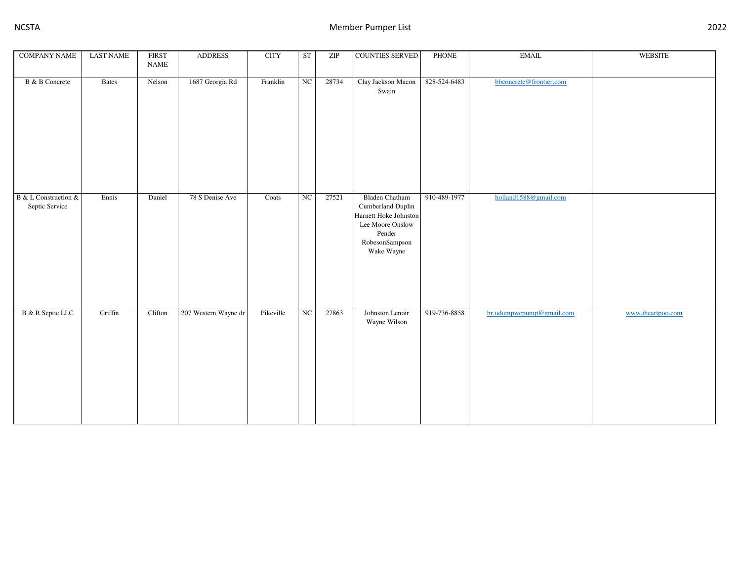| <b>COMPANY NAME</b>                    | <b>LAST NAME</b> | <b>FIRST</b><br>$\ensuremath{\mathsf{NAME}}$ | <b>ADDRESS</b>       | <b>CITY</b> | <b>ST</b> | $\ensuremath{\mathrm{ZIP}}$ | COUNTIES SERVED                                                                                                                   | <b>PHONE</b> | <b>EMAIL</b>             | <b>WEBSITE</b>    |
|----------------------------------------|------------------|----------------------------------------------|----------------------|-------------|-----------|-----------------------------|-----------------------------------------------------------------------------------------------------------------------------------|--------------|--------------------------|-------------------|
| <b>B</b> & <b>B</b> Concrete           | Bates            | Nelson                                       | 1687 Georgia Rd      | Franklin    | NC        | 28734                       | Clay Jackson Macon<br>Swain                                                                                                       | 828-524-6483 | bbconcrete@frontier.com  |                   |
| B & L Construction &<br>Septic Service | Ennis            | Daniel                                       | 78 S Denise Ave      | Coats       | NC        | 27521                       | <b>Bladen Chatham</b><br>Cumberland Duplin<br>Harnett Hoke Johnston<br>Lee Moore Onslow<br>Pender<br>RobesonSampson<br>Wake Wayne | 910-489-1977 | holland1588@gmail.com    |                   |
| B & R Septic LLC                       | Griffin          | Clifton                                      | 207 Western Wayne dr | Pikeville   | NC        | 27863                       | Johnston Lenoir<br>Wayne Wilson                                                                                                   | 919-736-8858 | br.udumpwepump@gmail.com | www.iheartpoo.com |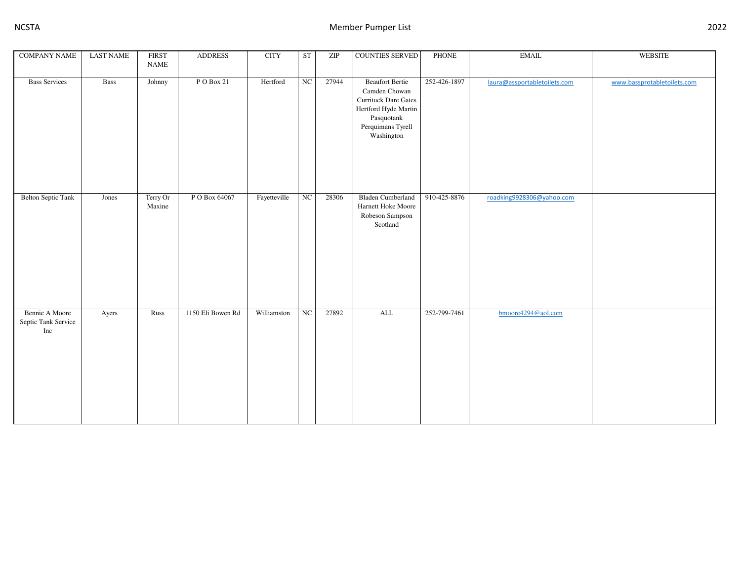| <b>COMPANY NAME</b>                          | <b>LAST NAME</b> | <b>FIRST</b>       | <b>ADDRESS</b>    | <b>CITY</b>  | <b>ST</b> | ZIP   | <b>COUNTIES SERVED</b>                                                                                                                          | PHONE        | <b>EMAIL</b>                 | WEBSITE                     |
|----------------------------------------------|------------------|--------------------|-------------------|--------------|-----------|-------|-------------------------------------------------------------------------------------------------------------------------------------------------|--------------|------------------------------|-----------------------------|
|                                              |                  | <b>NAME</b>        |                   |              |           |       |                                                                                                                                                 |              |                              |                             |
| <b>Bass Services</b>                         | Bass             | Johnny             | $P$ O Box 21      | Hertford     | NC        | 27944 | <b>Beaufort Bertie</b><br>Camden Chowan<br><b>Currituck Dare Gates</b><br>Hertford Hyde Martin<br>Pasquotank<br>Perquimans Tyrell<br>Washington | 252-426-1897 | laura@assportabletoilets.com | www.bassprotabletoilets.com |
| <b>Belton Septic Tank</b>                    | Jones            | Terry Or<br>Maxine | P O Box 64067     | Fayetteville | NC        | 28306 | <b>Bladen Cumberland</b><br>Harnett Hoke Moore<br>Robeson Sampson<br>Scotland                                                                   | 910-425-8876 | roadking9928306@yahoo.com    |                             |
| Bennie A Moore<br>Septic Tank Service<br>Inc | Ayers            | Russ               | 1150 Eli Bowen Rd | Williamston  | NC        | 27892 | <b>ALL</b>                                                                                                                                      | 252-799-7461 | bmoore4294@aol.com           |                             |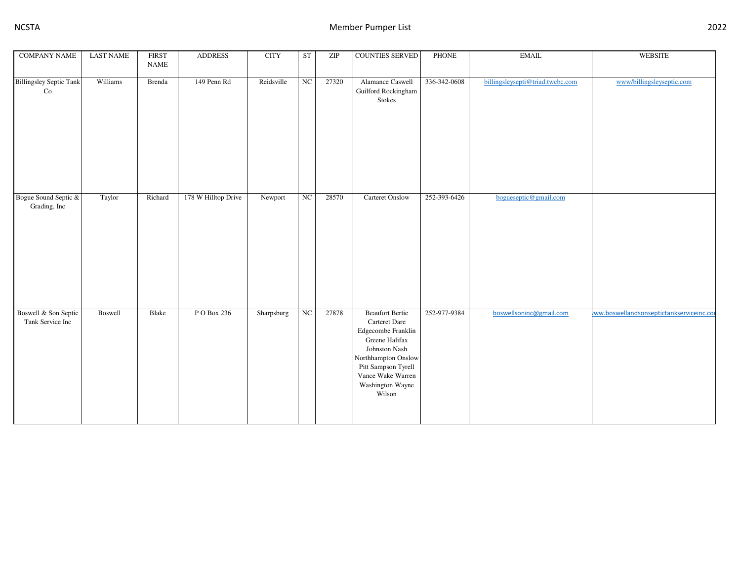| <b>COMPANY NAME</b>                      | <b>LAST NAME</b> | <b>FIRST</b><br><b>NAME</b> | <b>ADDRESS</b>      | <b>CITY</b> | <b>ST</b>        | $\ensuremath{\mathrm{ZIP}}$ | <b>COUNTIES SERVED</b>                                                                                                                                                                            | PHONE        | <b>EMAIL</b>                     | <b>WEBSITE</b>                           |
|------------------------------------------|------------------|-----------------------------|---------------------|-------------|------------------|-----------------------------|---------------------------------------------------------------------------------------------------------------------------------------------------------------------------------------------------|--------------|----------------------------------|------------------------------------------|
| <b>Billingsley Septic Tank</b><br>Co     | Williams         | Brenda                      | 149 Penn Rd         | Reidsville  | $_{\mathrm{NC}}$ | 27320                       | Alamance Caswell<br>Guilford Rockingham<br>Stokes                                                                                                                                                 | 336-342-0608 | billingsleysepti@triad.twcbc.com | www/billingsleyseptic.com                |
| Bogue Sound Septic &<br>Grading, Inc     | Taylor           | Richard                     | 178 W Hilltop Drive | Newport     | NC               | 28570                       | Carteret Onslow                                                                                                                                                                                   | 252-393-6426 | bogueseptic@gmail.com            |                                          |
| Boswell & Son Septic<br>Tank Service Inc | Boswell          | Blake                       | P O Box 236         | Sharpsburg  | $_{\mathrm{NC}}$ | 27878                       | <b>Beaufort Bertie</b><br>Carteret Dare<br>Edgecombe Franklin<br>Greene Halifax<br>Johnston Nash<br>Northhampton Onslow<br>Pitt Sampson Tyrell<br>Vance Wake Warren<br>Washington Wayne<br>Wilson | 252-977-9384 | boswellsoninc@gmail.com          | ww.boswellandsonseptictankserviceinc.com |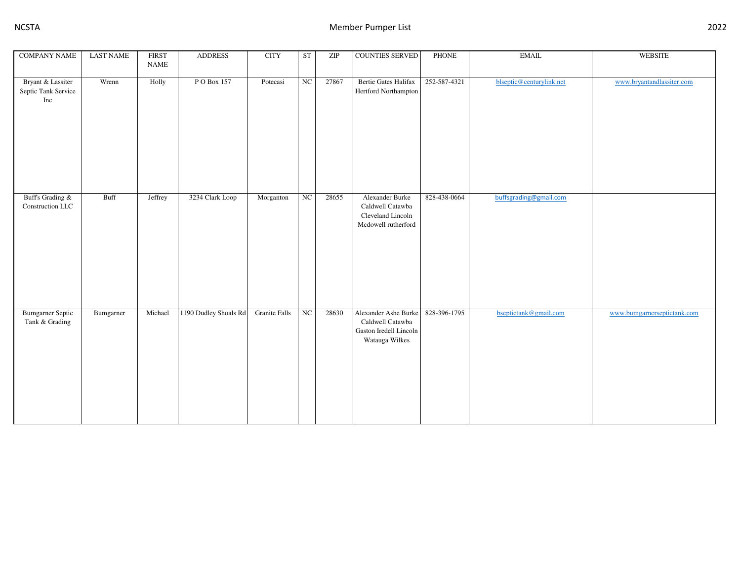| <b>COMPANY NAME</b>                             | <b>LAST NAME</b> | <b>FIRST</b><br><b>NAME</b> | <b>ADDRESS</b>        | $\rm CITY$           | ST          | $\ensuremath{\mathrm{ZIP}}$ | <b>COUNTIES SERVED</b>                                                               | PHONE        | <b>EMAIL</b>             | <b>WEBSITE</b>              |
|-------------------------------------------------|------------------|-----------------------------|-----------------------|----------------------|-------------|-----------------------------|--------------------------------------------------------------------------------------|--------------|--------------------------|-----------------------------|
| Bryant & Lassiter<br>Septic Tank Service<br>Inc | Wrenn            | Holly                       | P O Box 157           | Potecasi             | $_{\rm NC}$ | 27867                       | Bertie Gates Halifax<br>Hertford Northampton                                         | 252-587-4321 | blseptic@centurylink.net | www.bryantandlassiter.com   |
| Buff's Grading $\&$<br>Construction LLC         | <b>Buff</b>      | Jeffrey                     | 3234 Clark Loop       | Morganton            | NC          | 28655                       | Alexander Burke<br>Caldwell Catawba<br>Cleveland Lincoln<br>Mcdowell rutherford      | 828-438-0664 | buffsgrading@gmail.com   |                             |
| <b>Bumgarner Septic</b><br>Tank & Grading       | Bumgarner        | Michael                     | 1190 Dudley Shoals Rd | <b>Granite Falls</b> | NC          | 28630                       | Alexander Ashe Burke<br>Caldwell Catawba<br>Gaston Iredell Lincoln<br>Watauga Wilkes | 828-396-1795 | bseptictank@gmail.com    | www.bumgarnerseptictank.com |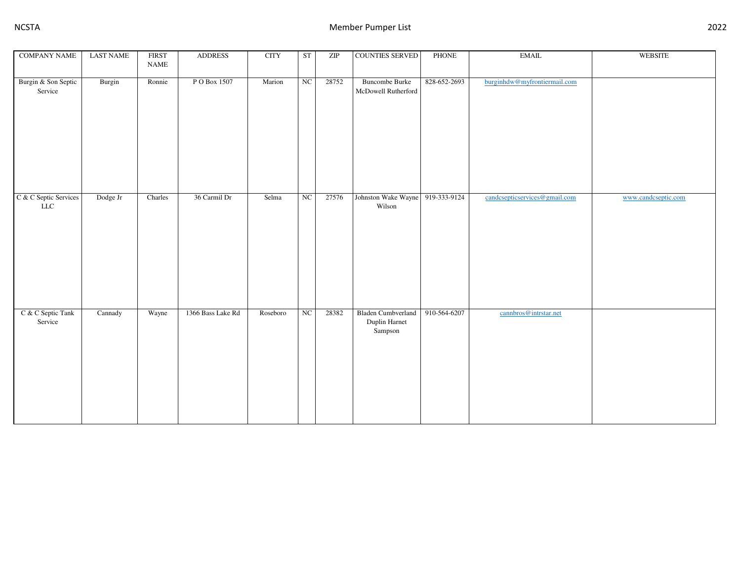| <b>COMPANY NAME</b>                  | <b>LAST NAME</b> | <b>FIRST</b><br><b>NAME</b> | <b>ADDRESS</b>    | <b>CITY</b> | <b>ST</b>   | ZIP   | <b>COUNTIES SERVED</b>                                | <b>PHONE</b> | <b>EMAIL</b>                  | <b>WEBSITE</b>      |
|--------------------------------------|------------------|-----------------------------|-------------------|-------------|-------------|-------|-------------------------------------------------------|--------------|-------------------------------|---------------------|
| Burgin & Son Septic<br>Service       | Burgin           | Ronnie                      | P O Box 1507      | Marion      | $_{\rm NC}$ | 28752 | <b>Buncombe Burke</b><br>McDowell Rutherford          | 828-652-2693 | burginhdw@myfrontiermail.com  |                     |
| C & C Septic Services<br>${\rm LLC}$ | Dodge Jr         | Charles                     | 36 Carmil Dr      | Selma       | NC          | 27576 | Johnston Wake Wayne<br>Wilson                         | 919-333-9124 | candcsepticservices@gmail.com | www.candcseptic.com |
| C & C Septic Tank<br>Service         | Cannady          | Wayne                       | 1366 Bass Lake Rd | Roseboro    | NC          | 28382 | <b>Bladen Cumbverland</b><br>Duplin Harnet<br>Sampson | 910-564-6207 | cannbros@intrstar.net         |                     |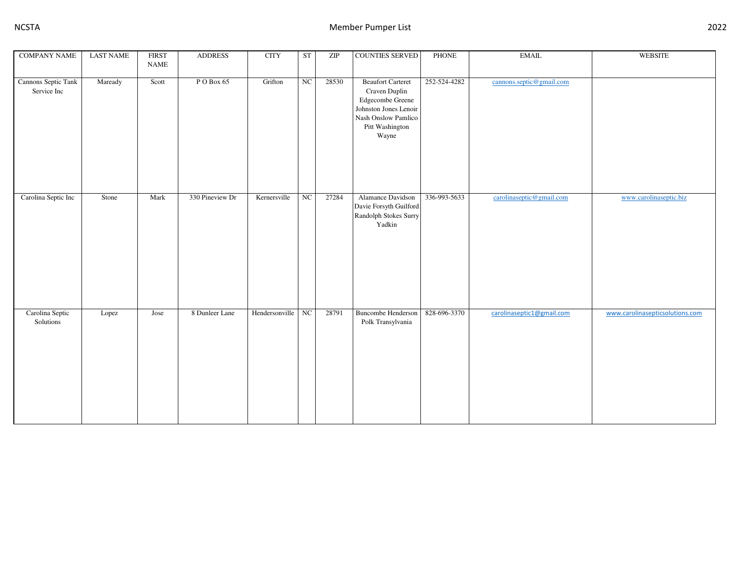| <b>COMPANY NAME</b>                | <b>LAST NAME</b> | <b>FIRST</b><br><b>NAME</b> | <b>ADDRESS</b>  | <b>CITY</b>    | <b>ST</b>        | $\ensuremath{\mathrm{ZIP}}$ | <b>COUNTIES SERVED</b>                                                                                                                    | PHONE        | <b>EMAIL</b>              | WEBSITE                         |
|------------------------------------|------------------|-----------------------------|-----------------|----------------|------------------|-----------------------------|-------------------------------------------------------------------------------------------------------------------------------------------|--------------|---------------------------|---------------------------------|
| Cannons Septic Tank<br>Service Inc | Maready          | Scott                       | PO Box 65       | Grifton        | $_{\rm NC}$      | 28530                       | <b>Beaufort Carteret</b><br>Craven Duplin<br>Edgecombe Greene<br>Johnston Jones Lenoir<br>Nash Onslow Pamlico<br>Pitt Washington<br>Wayne | 252-524-4282 | cannons.septic@gmail.com  |                                 |
| Carolina Septic Inc                | Stone            | Mark                        | 330 Pineview Dr | Kernersville   | $_{\mathrm{NC}}$ | 27284                       | Alamance Davidson<br>Davie Forsyth Guilford<br>Randolph Stokes Surry<br>Yadkin                                                            | 336-993-5633 | carolinaseptic@gmail.com  | www.carolinaseptic.biz          |
| Carolina Septic<br>Solutions       | Lopez            | Jose                        | 8 Dunleer Lane  | Hendersonville | $_{\rm NC}$      | 28791                       | <b>Buncombe Henderson</b><br>Polk Transylvania                                                                                            | 828-696-3370 | carolinaseptic1@gmail.com | www.carolinasepticsolutions.com |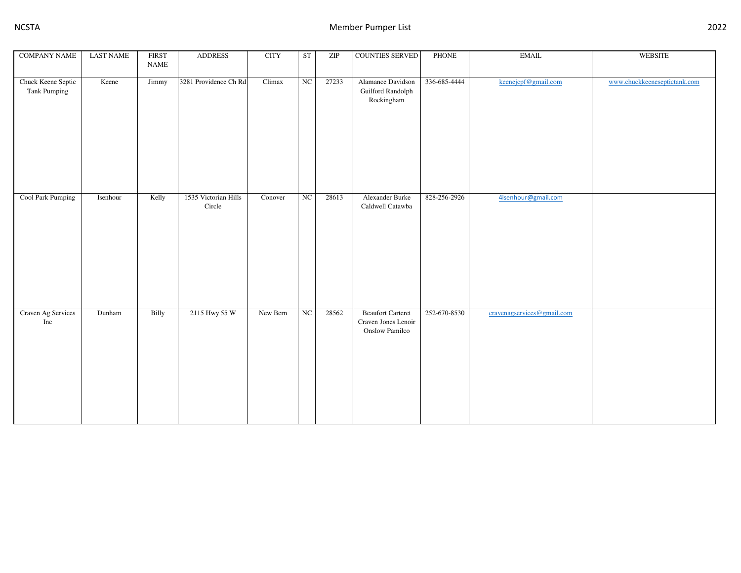| <b>COMPANY NAME</b>                | <b>LAST NAME</b> | <b>FIRST</b> | <b>ADDRESS</b>                 | <b>CITY</b> | <b>ST</b>        | ZIP   | <b>COUNTIES SERVED</b>                                            | <b>PHONE</b> | $\operatorname{EMAIL}$     | WEBSITE                      |
|------------------------------------|------------------|--------------|--------------------------------|-------------|------------------|-------|-------------------------------------------------------------------|--------------|----------------------------|------------------------------|
|                                    |                  | <b>NAME</b>  |                                |             |                  |       |                                                                   |              |                            |                              |
| Chuck Keene Septic<br>Tank Pumping | Keene            | Jimmy        | 3281 Providence Ch Rd          | Climax      | $_{\rm NC}$      | 27233 | Alamance Davidson<br>Guilford Randolph<br>Rockingham              | 336-685-4444 | keenejcpf@gmail.com        | www.chuckkeeneseptictank.com |
| Cool Park Pumping                  | Isenhour         | Kelly        | 1535 Victorian Hills<br>Circle | Conover     | $_{\rm NC}$      | 28613 | Alexander Burke<br>Caldwell Catawba                               | 828-256-2926 | 4isenhour@gmail.com        |                              |
| Craven Ag Services<br>Inc          | Dunham           | Billy        | 2115 Hwy 55 W                  | New Bern    | $_{\mathrm{NC}}$ | 28562 | <b>Beaufort Carteret</b><br>Craven Jones Lenoir<br>Onslow Pamilco | 252-670-8530 | cravenagservices@gmail.com |                              |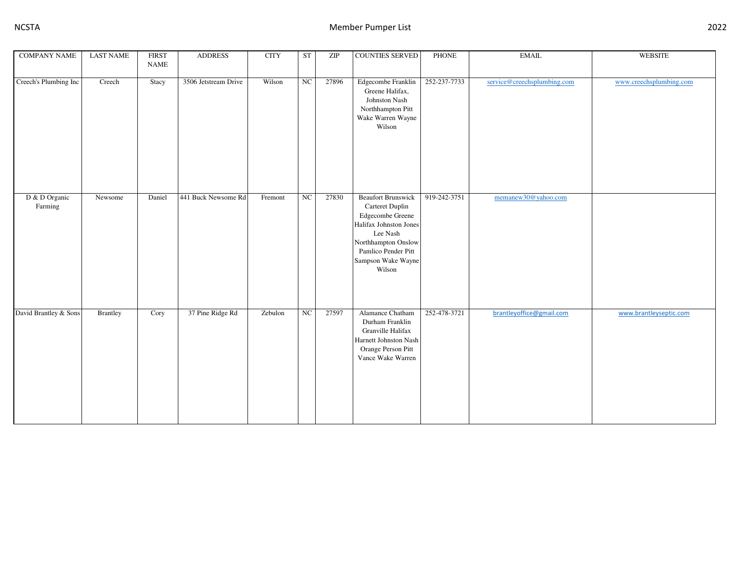| <b>COMPANY NAME</b>      | <b>LAST NAME</b> | <b>FIRST</b> | <b>ADDRESS</b>       | <b>CITY</b> | <b>ST</b>        | ZIP   | <b>COUNTIES SERVED</b>                                                                                                                                                               | PHONE        | <b>EMAIL</b>                | WEBSITE                 |
|--------------------------|------------------|--------------|----------------------|-------------|------------------|-------|--------------------------------------------------------------------------------------------------------------------------------------------------------------------------------------|--------------|-----------------------------|-------------------------|
|                          |                  | <b>NAME</b>  |                      |             |                  |       |                                                                                                                                                                                      |              |                             |                         |
| Creech's Plumbing Inc    | Creech           | Stacy        | 3506 Jetstream Drive | Wilson      | NC               | 27896 | Edgecombe Franklin<br>Greene Halifax,<br>Johnston Nash<br>Northhampton Pitt<br>Wake Warren Wayne<br>Wilson                                                                           | 252-237-7733 | service@creechsplumbing.com | www.creechsplumbing.com |
| D & D Organic<br>Farming | Newsome          | Daniel       | 441 Buck Newsome Rd  | Fremont     | $_{\rm NC}$      | 27830 | <b>Beaufort Brunswick</b><br>Carteret Duplin<br>Edgecombe Greene<br>Halifax Johnston Jones<br>Lee Nash<br>Northhampton Onslow<br>Pamlico Pender Pitt<br>Sampson Wake Wayne<br>Wilson | 919-242-3751 | memanew30@yahoo.com         |                         |
| David Brantley & Sons    | Brantley         | Cory         | 37 Pine Ridge Rd     | Zebulon     | $_{\mathrm{NC}}$ | 27597 | Alamance Chatham<br>Durham Franklin<br>Granville Halifax<br>Harnett Johnston Nash<br>Orange Person Pitt<br>Vance Wake Warren                                                         | 252-478-3721 | brantleyoffice@gmail.com    | www.brantleyseptic.com  |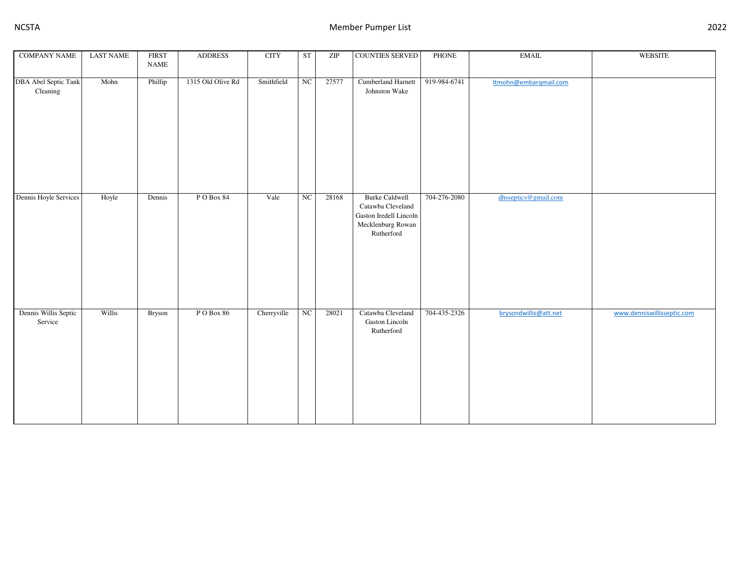| <b>COMPANY NAME</b>              | <b>LAST NAME</b> | <b>FIRST</b><br><b>NAME</b> | <b>ADDRESS</b>    | <b>CITY</b> | <b>ST</b>        | $\ensuremath{\mathrm{ZIP}}$ | COUNTIES SERVED                                                                                         | <b>PHONE</b> | <b>EMAIL</b>          | WEBSITE                    |
|----------------------------------|------------------|-----------------------------|-------------------|-------------|------------------|-----------------------------|---------------------------------------------------------------------------------------------------------|--------------|-----------------------|----------------------------|
| DBA Abel Septic Tank<br>Cleaning | Mohn             | Phillip                     | 1315 Old Olive Rd | Smithfield  | NC               | 27577                       | Cumberland Harnett<br>Johnston Wake                                                                     | 919-984-6741 | Itmohn@embarqmail.com |                            |
| Dennis Hoyle Services            | Hoyle            | Dennis                      | PO Box 84         | Vale        | $_{\mathrm{NC}}$ | 28168                       | <b>Burke Caldwell</b><br>Catawba Cleveland<br>Gaston Iredell Lincoln<br>Mecklenburg Rowan<br>Rutherford | 704-276-2080 | dhsseptics@gmail.com  |                            |
| Dennis Willis Septic<br>Service  | Willis           | Bryson                      | PO Box 86         | Cherryville | $\rm NC$         | 28021                       | Catawba Cleveland<br>Gaston Lincoln<br>Rutherford                                                       | 704-435-2326 | brysondwillis@att.net | www.denniswillisseptic.com |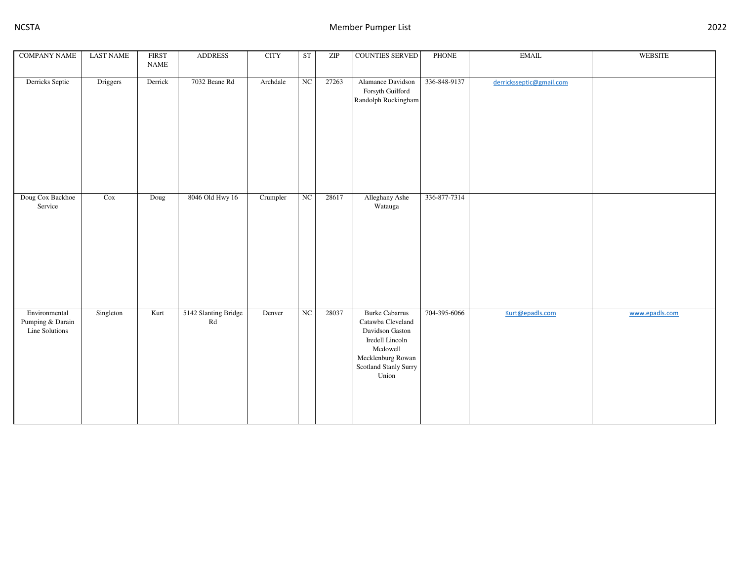| <b>COMPANY NAME</b>                                 | <b>LAST NAME</b> | <b>FIRST</b><br><b>NAME</b> | <b>ADDRESS</b>                                 | <b>CITY</b> | <b>ST</b> | ZIP   | COUNTIES SERVED                                                                                                                                     | <b>PHONE</b> | <b>EMAIL</b>             | <b>WEBSITE</b> |
|-----------------------------------------------------|------------------|-----------------------------|------------------------------------------------|-------------|-----------|-------|-----------------------------------------------------------------------------------------------------------------------------------------------------|--------------|--------------------------|----------------|
| Derricks Septic                                     | Driggers         | Derrick                     | 7032 Beane Rd                                  | Archdale    | NC        | 27263 | Alamance Davidson<br>Forsyth Guilford<br>Randolph Rockingham                                                                                        | 336-848-9137 | derricksseptic@gmail.com |                |
| Doug Cox Backhoe<br>Service                         | Cox              | Doug                        | 8046 Old Hwy 16                                | Crumpler    | NC        | 28617 | Alleghany Ashe<br>Watauga                                                                                                                           | 336-877-7314 |                          |                |
| Environmental<br>Pumping & Darain<br>Line Solutions | Singleton        | Kurt                        | 5142 Slanting Bridge<br>$\mathbf{R}\mathbf{d}$ | Denver      | NC        | 28037 | <b>Burke Cabarrus</b><br>Catawba Cleveland<br>Davidson Gaston<br>Iredell Lincoln<br>Mcdowell<br>Mecklenburg Rowan<br>Scotland Stanly Surry<br>Union | 704-395-6066 | Kurt@epadls.com          | www.epadls.com |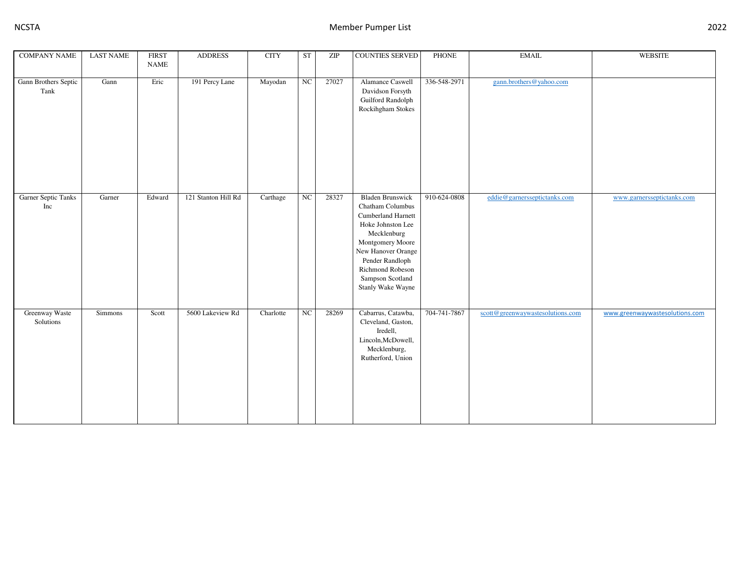| <b>COMPANY NAME</b>          | <b>LAST NAME</b> | <b>FIRST</b><br><b>NAME</b> | <b>ADDRESS</b>      | <b>CITY</b> | <b>ST</b>   | ZIP   | <b>COUNTIES SERVED</b>                                                                                                                                                                                                          | <b>PHONE</b> | $\text{EMAIL}$                   | WEBSITE                        |
|------------------------------|------------------|-----------------------------|---------------------|-------------|-------------|-------|---------------------------------------------------------------------------------------------------------------------------------------------------------------------------------------------------------------------------------|--------------|----------------------------------|--------------------------------|
| Gann Brothers Septic<br>Tank | Gann             | Eric                        | 191 Percy Lane      | Mayodan     | $_{\rm NC}$ | 27027 | Alamance Caswell<br>Davidson Forsyth<br>Guilford Randolph<br>Rockihgham Stokes                                                                                                                                                  | 336-548-2971 | gann.brothers@yahoo.com          |                                |
| Garner Septic Tanks<br>Inc   | Garner           | Edward                      | 121 Stanton Hill Rd | Carthage    | $_{\rm NC}$ | 28327 | <b>Bladen Brunswick</b><br>Chatham Columbus<br>Cumberland Harnett<br>Hoke Johnston Lee<br>Mecklenburg<br>Montgomery Moore<br>New Hanover Orange<br>Pender Randloph<br>Richmond Robeson<br>Sampson Scotland<br>Stanly Wake Wayne | 910-624-0808 | eddie@garnersseptictanks.com     | www.garnersseptictanks.com     |
| Greenway Waste<br>Solutions  | Simmons          | Scott                       | 5600 Lakeview Rd    | Charlotte   | $_{\rm NC}$ | 28269 | Cabarrus, Catawba,<br>Cleveland, Gaston,<br>Iredell,<br>Lincoln, McDowell,<br>Mecklenburg,<br>Rutherford, Union                                                                                                                 | 704-741-7867 | scott@greenwaywastesolutions.com | www.greenwaywastesolutions.com |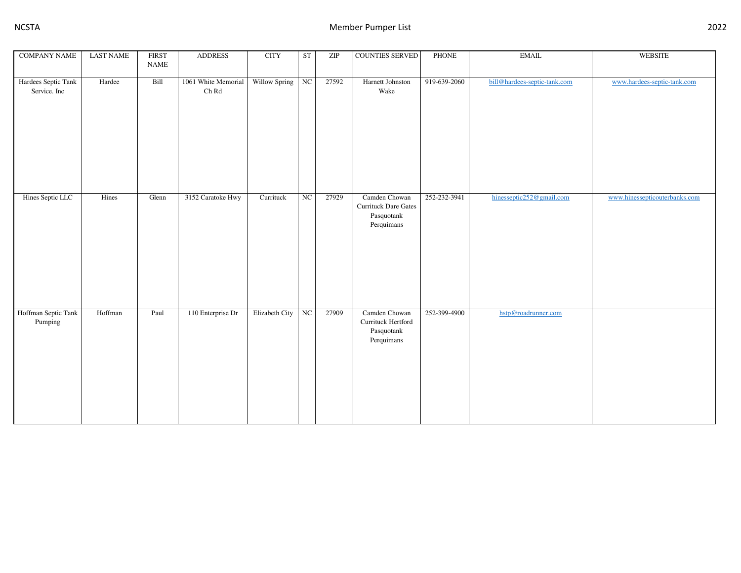| <b>COMPANY NAME</b>                 | <b>LAST NAME</b> | <b>FIRST</b><br><b>NAME</b> | <b>ADDRESS</b>                               | <b>CITY</b>    | ST               | $\ensuremath{\mathrm{ZIP}}$ | <b>COUNTIES SERVED</b>                                          | PHONE        | <b>EMAIL</b>                 | <b>WEBSITE</b>                |
|-------------------------------------|------------------|-----------------------------|----------------------------------------------|----------------|------------------|-----------------------------|-----------------------------------------------------------------|--------------|------------------------------|-------------------------------|
| Hardees Septic Tank<br>Service. Inc | Hardee           | Bill                        | 1061 White Memorial<br>${\rm Ch}$ ${\rm Rd}$ | Willow Spring  | $_{\rm NC}$      | 27592                       | Harnett Johnston<br>Wake                                        | 919-639-2060 | bill@hardees-septic-tank.com | www.hardees-septic-tank.com   |
| Hines Septic LLC                    | Hines            | Glenn                       | 3152 Caratoke Hwy                            | Currituck      | $_{\mathrm{NC}}$ | 27929                       | Camden Chowan<br>Currituck Dare Gates<br>Pasquotank             | 252-232-3941 | hinesseptic252@gmail.com     | www.hinessepticouterbanks.com |
|                                     |                  |                             |                                              |                |                  |                             | Perquimans                                                      |              |                              |                               |
| Hoffman Septic Tank<br>Pumping      | Hoffman          | Paul                        | 110 Enterprise Dr                            | Elizabeth City | $\rm NC$         | 27909                       | Camden Chowan<br>Currituck Hertford<br>Pasquotank<br>Perquimans | 252-399-4900 | hstp@roadrunner.com          |                               |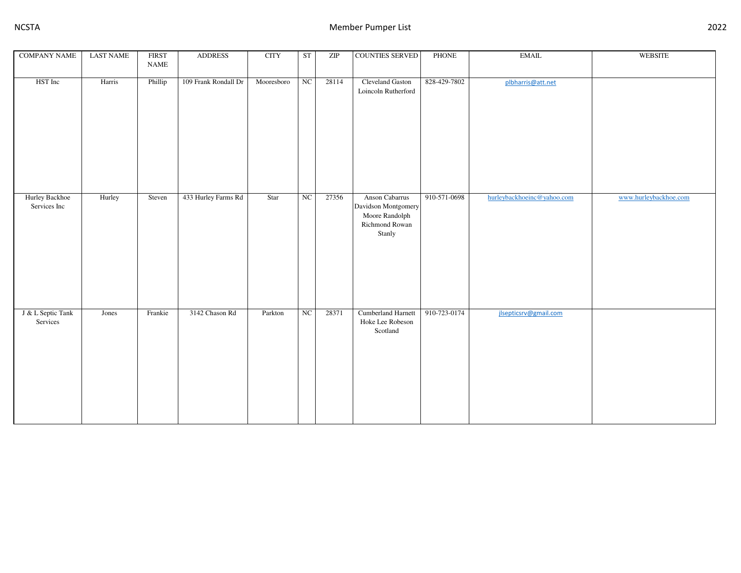| <b>COMPANY NAME</b>            | <b>LAST NAME</b> | <b>FIRST</b><br><b>NAME</b> | <b>ADDRESS</b>       | <b>CITY</b> | <b>ST</b>   | $\ensuremath{\mathrm{ZIP}}$ | <b>COUNTIES SERVED</b>                                                              | <b>PHONE</b> | <b>EMAIL</b>               | <b>WEBSITE</b>        |
|--------------------------------|------------------|-----------------------------|----------------------|-------------|-------------|-----------------------------|-------------------------------------------------------------------------------------|--------------|----------------------------|-----------------------|
| HST Inc                        | Harris           | Phillip                     | 109 Frank Rondall Dr | Mooresboro  | NC          | 28114                       | Cleveland Gaston<br>Loincoln Rutherford                                             | 828-429-7802 | plbharris@att.net          |                       |
| Hurley Backhoe<br>Services Inc | Hurley           | Steven                      | 433 Hurley Farms Rd  | Star        | NC          | 27356                       | Anson Cabarrus<br>Davidson Montgomery<br>Moore Randolph<br>Richmond Rowan<br>Stanly | 910-571-0698 | hurleybackhoeinc@yahoo.com | www.hurleybackhoe.com |
| J & L Septic Tank<br>Services  | Jones            | Frankie                     | 3142 Chason Rd       | Parkton     | $_{\rm NC}$ | 28371                       | Cumberland Harnett<br>Hoke Lee Robeson<br>Scotland                                  | 910-723-0174 | jlsepticsrv@gmail.com      |                       |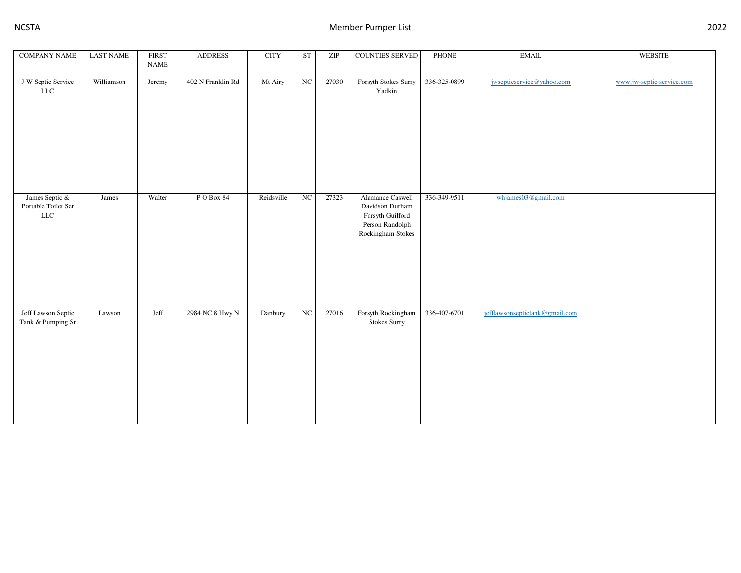| <b>COMPANY NAME</b>                                  | <b>LAST NAME</b> | <b>FIRST</b><br><b>NAME</b> | <b>ADDRESS</b>    | <b>CITY</b> | <b>ST</b> | $\ensuremath{\mathrm{ZIP}}$ | COUNTIES SERVED                                                                                 | <b>PHONE</b> | <b>EMAIL</b>                   | <b>WEBSITE</b>            |
|------------------------------------------------------|------------------|-----------------------------|-------------------|-------------|-----------|-----------------------------|-------------------------------------------------------------------------------------------------|--------------|--------------------------------|---------------------------|
| J W Septic Service<br><b>LLC</b>                     | Williamson       | Jeremy                      | 402 N Franklin Rd | Mt Airy     | NC        | 27030                       | Forsyth Stokes Surry<br>Yadkin                                                                  | 336-325-0899 | jwsepticservice@yahoo.com      | www.jw-septic-service.com |
| James Septic &<br>Portable Toilet Ser<br>${\rm LLC}$ | James            | Walter                      | PO Box 84         | Reidsville  | NC        | 27323                       | Alamance Caswell<br>Davidson Durham<br>Forsyth Guilford<br>Person Randolph<br>Rockingham Stokes | 336-349-9511 | whjames03@gmail.com            |                           |
| Jeff Lawson Septic<br>Tank & Pumping Sr              | Lawson           | Jeff                        | 2984 NC 8 Hwy N   | Danbury     | NC        | 27016                       | Forsyth Rockingham<br>Stokes Surry                                                              | 336-407-6701 | jefflawsonseptictank@gmail.com |                           |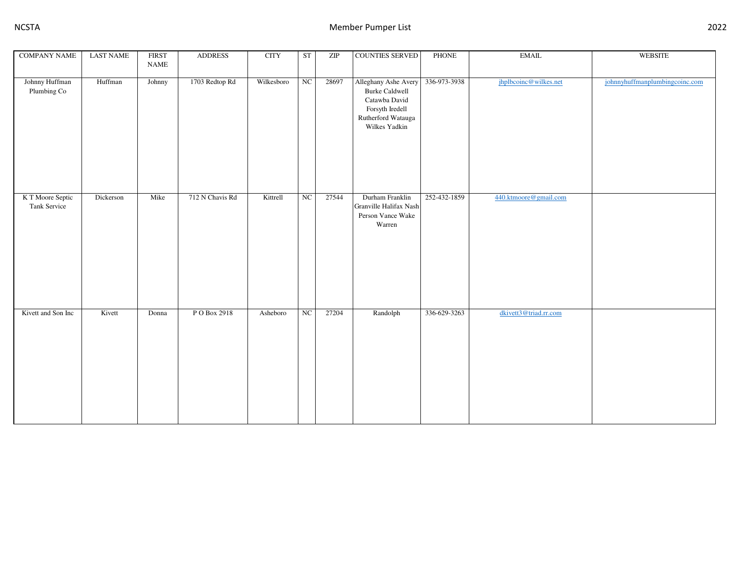| <b>COMPANY NAME</b>              | <b>LAST NAME</b> | <b>FIRST</b> | <b>ADDRESS</b>  | $\rm CITY$ | <b>ST</b>              | $\ensuremath{\mathrm{ZIP}}$ | <b>COUNTIES SERVED</b>                                                                                                   | PHONE        | $\operatorname{EMAIL}$ | WEBSITE                        |
|----------------------------------|------------------|--------------|-----------------|------------|------------------------|-----------------------------|--------------------------------------------------------------------------------------------------------------------------|--------------|------------------------|--------------------------------|
|                                  |                  | <b>NAME</b>  |                 |            |                        |                             |                                                                                                                          |              |                        |                                |
| Johnny Huffman<br>Plumbing Co    | Huffman          | Johnny       | 1703 Redtop Rd  | Wilkesboro | $_{\rm NC}$            | 28697                       | Alleghany Ashe Avery<br><b>Burke Caldwell</b><br>Catawba David<br>Forsyth Iredell<br>Rutherford Watauga<br>Wilkes Yadkin | 336-973-3938 | jhplbcoinc@wilkes.net  | johnnyhuffmanplumbingcoinc.com |
| K T Moore Septic<br>Tank Service | Dickerson        | Mike         | 712 N Chavis Rd | Kittrell   | $\overline{\text{NC}}$ | 27544                       | Durham Franklin<br>Granville Halifax Nash<br>Person Vance Wake<br>Warren                                                 | 252-432-1859 | 440.ktmoore@gmail.com  |                                |
| Kivett and Son Inc               | Kivett           | Donna        | P O Box 2918    | Asheboro   | $_{\mathrm{NC}}$       | 27204                       | Randolph                                                                                                                 | 336-629-3263 | dkivett3@triad.rr.com  |                                |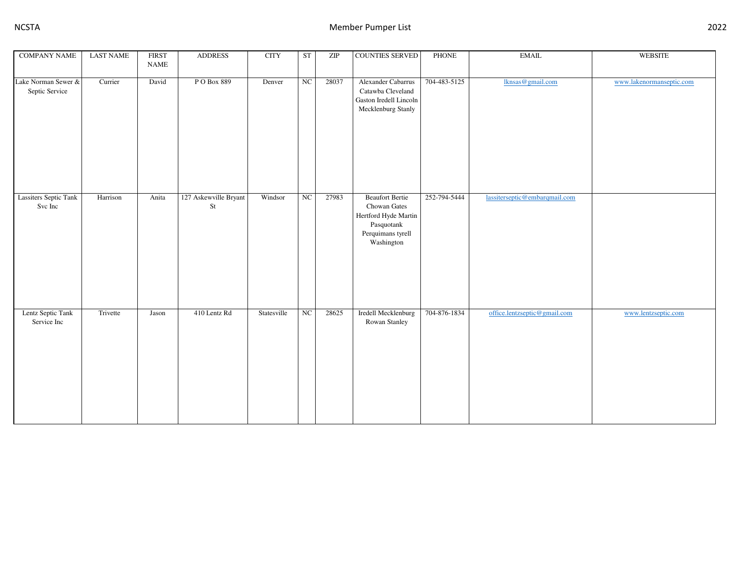| <b>COMPANY NAME</b>                     | <b>LAST NAME</b> | <b>FIRST</b> | <b>ADDRESS</b>              | <b>CITY</b> | <b>ST</b>        | $\ensuremath{\mathrm{ZIP}}$ | <b>COUNTIES SERVED</b>                                                                                          | PHONE        | <b>EMAIL</b>                  | <b>WEBSITE</b>           |
|-----------------------------------------|------------------|--------------|-----------------------------|-------------|------------------|-----------------------------|-----------------------------------------------------------------------------------------------------------------|--------------|-------------------------------|--------------------------|
|                                         |                  | <b>NAME</b>  |                             |             |                  |                             |                                                                                                                 |              |                               |                          |
| Lake Norman Sewer &<br>Septic Service   | Currier          | David        | P O Box 889                 | Denver      | ${\rm NC}$       | 28037                       | Alexander Cabarrus<br>Catawba Cleveland<br>Gaston Iredell Lincoln<br>Mecklenburg Stanly                         | 704-483-5125 | lknsas@gmail.com              | www.lakenormanseptic.com |
| <b>Lassiters Septic Tank</b><br>Svc Inc | Harrison         | Anita        | 127 Askewville Bryant<br>St | Windsor     | $_{\rm NC}$      | 27983                       | <b>Beaufort Bertie</b><br>Chowan Gates<br>Hertford Hyde Martin<br>Pasquotank<br>Perquimans tyrell<br>Washington | 252-794-5444 | lassiterseptic@embarqmail.com |                          |
| Lentz Septic Tank<br>Service Inc        | Trivette         | Jason        | 410 Lentz Rd                | Statesville | $_{\mathrm{NC}}$ | 28625                       | Iredell Mecklenburg<br>Rowan Stanley                                                                            | 704-876-1834 | office.lentzseptic@gmail.com  | www.lentzseptic.com      |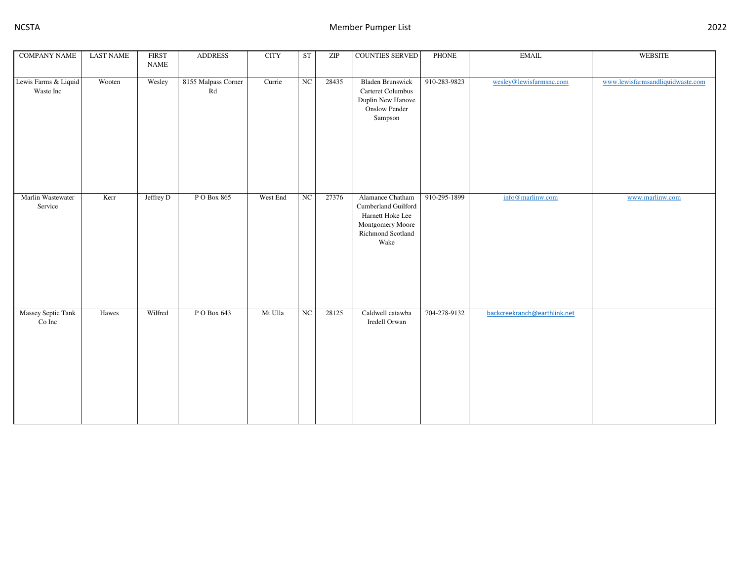| <b>COMPANY NAME</b>               | <b>LAST NAME</b> | <b>FIRST</b> | <b>ADDRESS</b>            | <b>CITY</b> | <b>ST</b>        | ZIP   | <b>COUNTIES SERVED</b>                                                                                       | PHONE        | $\operatorname{EMAIL}$       | WEBSITE                          |
|-----------------------------------|------------------|--------------|---------------------------|-------------|------------------|-------|--------------------------------------------------------------------------------------------------------------|--------------|------------------------------|----------------------------------|
|                                   |                  | <b>NAME</b>  |                           |             |                  |       |                                                                                                              |              |                              |                                  |
| Lewis Farms & Liquid<br>Waste Inc | Wooten           | Wesley       | 8155 Malpass Corner<br>Rd | Currie      | $_{\rm NC}$      | 28435 | <b>Bladen Brunswick</b><br>Carteret Columbus<br>Duplin New Hanove<br><b>Onslow Pender</b><br>Sampson         | 910-283-9823 | wesley@lewisfarmsnc.com      | www.lewisfarmsandliquidwaste.com |
| Marlin Wastewater<br>Service      | Kerr             | Jeffrey D    | P O Box 865               | West End    | $_{\mathrm{NC}}$ | 27376 | Alamance Chatham<br>Cumberland Guilford<br>Harnett Hoke Lee<br>Montgomery Moore<br>Richmond Scotland<br>Wake | 910-295-1899 | info@marlinw.com             | www.marlinw.com                  |
| Massey Septic Tank<br>Co Inc      | Hawes            | Wilfred      | P O Box 643               | Mt Ulla     | $_{\mathrm{NC}}$ | 28125 | Caldwell catawba<br>Iredell Orwan                                                                            | 704-278-9132 | backcreekranch@earthlink.net |                                  |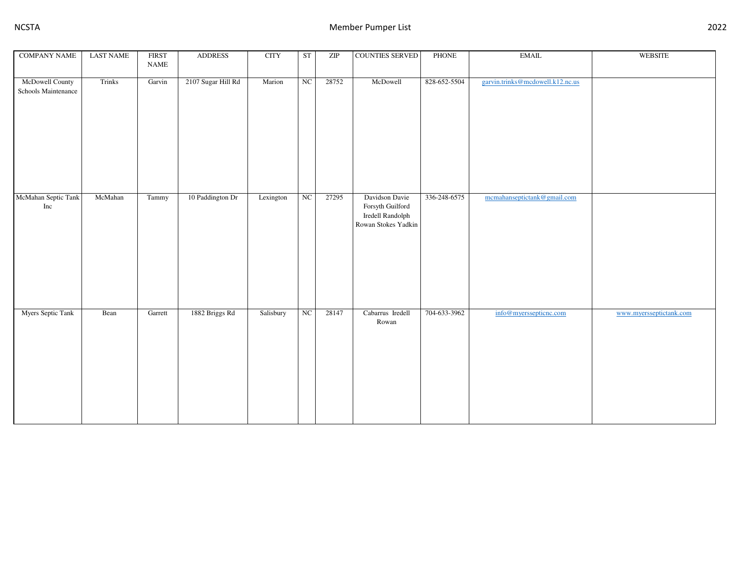| <b>COMPANY NAME</b>                                                                                                            | <b>LAST NAME</b> | <b>FIRST</b><br><b>NAME</b> | <b>ADDRESS</b>     | <b>CITY</b> | <b>ST</b>   | $\ensuremath{\mathrm{ZIP}}$ | <b>COUNTIES SERVED</b>                                                        | PHONE        | $\operatorname{EMAIL}$           | <b>WEBSITE</b>          |
|--------------------------------------------------------------------------------------------------------------------------------|------------------|-----------------------------|--------------------|-------------|-------------|-----------------------------|-------------------------------------------------------------------------------|--------------|----------------------------------|-------------------------|
|                                                                                                                                |                  |                             |                    |             |             |                             |                                                                               |              |                                  |                         |
| McDowell County<br>Schools Maintenance                                                                                         | Trinks           | Garvin                      | 2107 Sugar Hill Rd | Marion      | NC          | 28752                       | McDowell                                                                      | 828-652-5504 | garvin.trinks@mcdowell.k12.nc.us |                         |
| McMahan Septic Tank<br>$\operatorname*{Inc}% \nolimits_{\mathbb{Z}}\left( \mathbb{Z}^{\Sigma\left( 1\right) }\right) ^{\ast }$ | McMahan          | Tammy                       | 10 Paddington Dr   | Lexington   | $_{\rm NC}$ | 27295                       | Davidson Davie<br>Forsyth Guilford<br>Iredell Randolph<br>Rowan Stokes Yadkin | 336-248-6575 | mcmahanseptictank@gmail.com      |                         |
| <b>Myers Septic Tank</b>                                                                                                       | Bean             | Garrett                     | 1882 Briggs Rd     | Salisbury   | NC          | 28147                       | Cabarrus Iredell<br>Rowan                                                     | 704-633-3962 | info@myerssepticnc.com           | www.myersseptictank.com |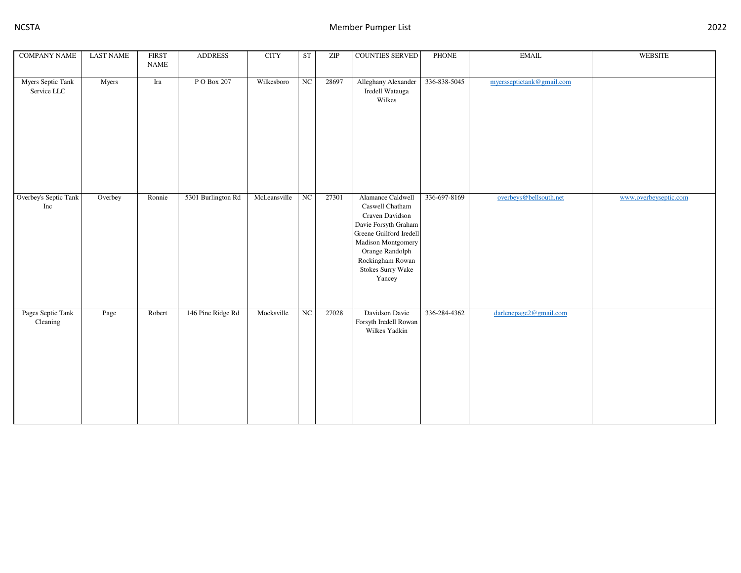| <b>COMPANY NAME</b>              | <b>LAST NAME</b> | <b>FIRST</b><br><b>NAME</b> | <b>ADDRESS</b>     | <b>CITY</b>  | <b>ST</b>        | $\ensuremath{\mathrm{ZIP}}$ | <b>COUNTIES SERVED</b>                                                                                                                                                                                 | PHONE        | $\operatorname{EMAIL}$    | WEBSITE               |
|----------------------------------|------------------|-----------------------------|--------------------|--------------|------------------|-----------------------------|--------------------------------------------------------------------------------------------------------------------------------------------------------------------------------------------------------|--------------|---------------------------|-----------------------|
| Myers Septic Tank<br>Service LLC | Myers            | $\operatorname{Ira}$        | P O Box 207        | Wilkesboro   | NC               | 28697                       | Alleghany Alexander<br>Iredell Watauga<br>Wilkes                                                                                                                                                       | 336-838-5045 | myersseptictank@gmail.com |                       |
| Overbey's Septic Tank<br>Inc     | Overbey          | Ronnie                      | 5301 Burlington Rd | McLeansville | $_{\rm NC}$      | 27301                       | Alamance Caldwell<br>Caswell Chatham<br>Craven Davidson<br>Davie Forsyth Graham<br>Greene Guilford Iredell<br>Madison Montgomery<br>Orange Randolph<br>Rockingham Rowan<br>Stokes Surry Wake<br>Yancey | 336-697-8169 | overbeys@bellsouth.net    | www.overbeyseptic.com |
| Pages Septic Tank<br>Cleaning    | Page             | Robert                      | 146 Pine Ridge Rd  | Mocksville   | $_{\mathrm{NC}}$ | 27028                       | Davidson Davie<br>Forsyth Iredell Rowan<br>Wilkes Yadkin                                                                                                                                               | 336-284-4362 | darlenepage2@gmail.com    |                       |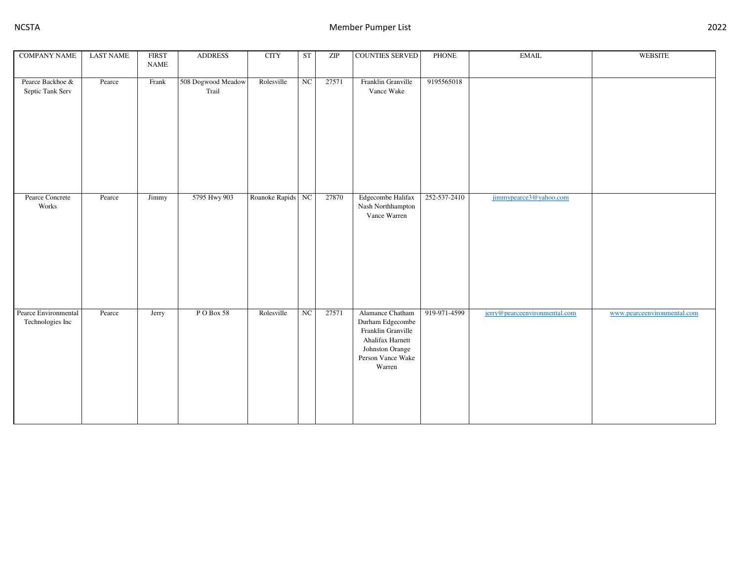| <b>COMPANY NAME</b>                      | <b>LAST NAME</b> | <b>FIRST</b><br><b>NAME</b>                                                          | <b>ADDRESS</b>              | <b>CITY</b>       | <b>ST</b>        | ZIP   | <b>COUNTIES SERVED</b>                                                                                                           | <b>PHONE</b> | $\operatorname{EMAIL}$        | WEBSITE                     |
|------------------------------------------|------------------|--------------------------------------------------------------------------------------|-----------------------------|-------------------|------------------|-------|----------------------------------------------------------------------------------------------------------------------------------|--------------|-------------------------------|-----------------------------|
| Pearce Backhoe &<br>Septic Tank Serv     | Pearce           | $\operatorname*{Frank}% \left( X\right) \equiv\operatorname*{Rank}\left( X\right) ,$ | 508 Dogwood Meadow<br>Trail | Rolesville        | NC               | 27571 | Franklin Granville<br>Vance Wake                                                                                                 | 9195565018   |                               |                             |
| Pearce Concrete<br>Works                 | Pearce           | Jimmy                                                                                | 5795 Hwy 903                | Roanoke Rapids NC |                  | 27870 | Edgecombe Halifax<br>Nash Northhampton<br>Vance Warren                                                                           | 252-537-2410 | jimmypearce3@yahoo.com        |                             |
| Pearce Environmental<br>Technologies Inc | Pearce           | Jerry                                                                                | PO Box 58                   | Rolesville        | $_{\mathrm{NC}}$ | 27571 | Alamance Chatham<br>Durham Edgecombe<br>Franklin Granville<br>Ahalifax Harnett<br>Johnston Orange<br>Person Vance Wake<br>Warren | 919-971-4599 | jerry@pearceenvironmental.com | www.pearceenvironmental.com |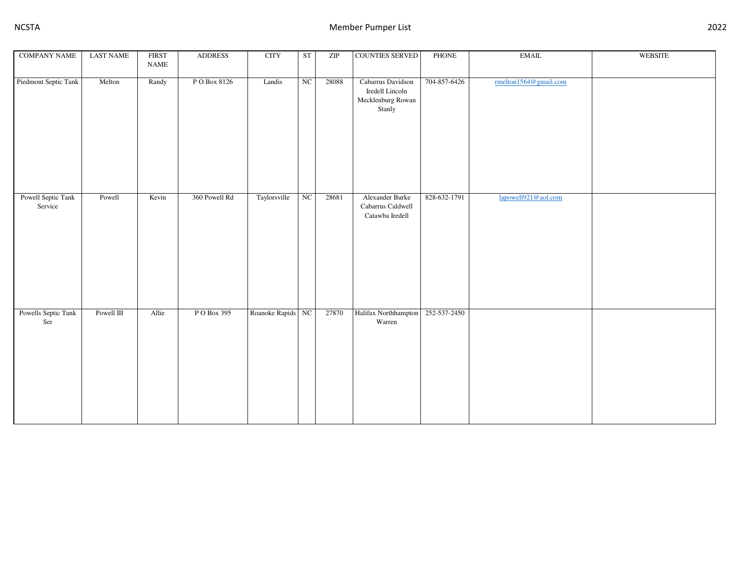| <b>COMPANY NAME</b>           | <b>LAST NAME</b> | <b>FIRST</b><br><b>NAME</b> | <b>ADDRESS</b> | <b>CITY</b>       | <b>ST</b>              | ZIP   | COUNTIES SERVED                                                     | PHONE        | $\operatorname{EMAIL}$ | <b>WEBSITE</b> |
|-------------------------------|------------------|-----------------------------|----------------|-------------------|------------------------|-------|---------------------------------------------------------------------|--------------|------------------------|----------------|
| Piedmont Septic Tank          | Melton           | Randy                       | PO Box 8126    | Landis            | $\overline{\text{NC}}$ | 28088 | Cabarrus Davidson<br>Iredell Lincoln<br>Mecklenburg Rowan<br>Stanly | 704-857-6426 | rmelton1564@gmail.com  |                |
| Powell Septic Tank<br>Service | Powell           | Kevin                       | 360 Powell Rd  | Taylorsville      | NC                     | 28681 | Alexander Burke<br>Cabarrus Caldwell<br>Catawba Iredell             | 828-632-1791 | lapowell921@aol.com    |                |
| Powells Septic Tank<br>Ser    | Powell III       | Allie                       | P O Box 395    | Roanoke Rapids NC |                        | 27870 | Halifax Northhampton<br>Warren                                      | 252-537-2450 |                        |                |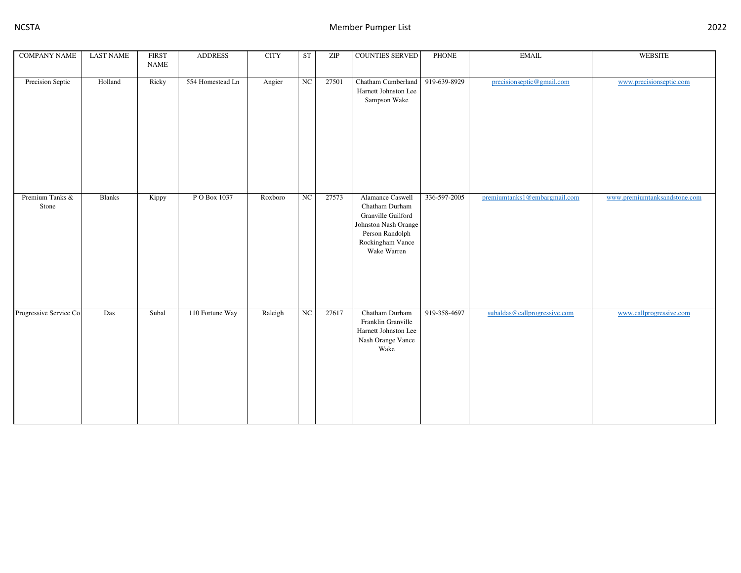| <b>COMPANY NAME</b>      | <b>LAST NAME</b> | <b>FIRST</b><br><b>NAME</b> | <b>ADDRESS</b>   | $\rm CITY$ | <b>ST</b>   | ZIP   | <b>COUNTIES SERVED</b>                                                                                                                 | PHONE        | <b>EMAIL</b>                 | <b>WEBSITE</b>               |
|--------------------------|------------------|-----------------------------|------------------|------------|-------------|-------|----------------------------------------------------------------------------------------------------------------------------------------|--------------|------------------------------|------------------------------|
| Precision Septic         | Holland          | Ricky                       | 554 Homestead Ln | Angier     | $_{\rm NC}$ | 27501 | Chatham Cumberland<br>Harnett Johnston Lee<br>Sampson Wake                                                                             | 919-639-8929 | precisionseptic@gmail.com    | www.precisionseptic.com      |
| Premium Tanks &<br>Stone | <b>Blanks</b>    | Kippy                       | P O Box 1037     | Roxboro    | NC          | 27573 | Alamance Caswell<br>Chatham Durham<br>Granville Guilford<br>Johnston Nash Orange<br>Person Randolph<br>Rockingham Vance<br>Wake Warren | 336-597-2005 | premiumtanks1@embargmail.com | www.premiumtanksandstone.com |
| Progressive Service Co   | Das              | Subal                       | 110 Fortune Way  | Raleigh    | $_{\rm NC}$ | 27617 | Chatham Durham<br>Franklin Granville<br>Harnett Johnston Lee<br>Nash Orange Vance<br>Wake                                              | 919-358-4697 | subaldas@callprogressive.com | www.callprogressive.com      |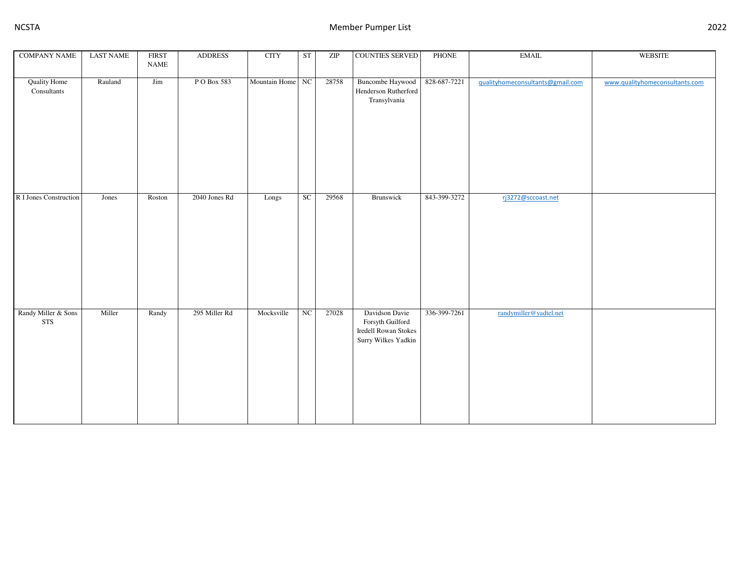| <b>COMPANY NAME</b>                      | <b>LAST NAME</b> | <b>FIRST</b>                 | <b>ADDRESS</b> | $\rm CITY$       | ${\rm ST}$ | $\ensuremath{\mathrm{ZIP}}$ | <b>COUNTIES SERVED</b>                                                                   | PHONE        | $\operatorname{EMAIL}$           | <b>WEBSITE</b>                 |
|------------------------------------------|------------------|------------------------------|----------------|------------------|------------|-----------------------------|------------------------------------------------------------------------------------------|--------------|----------------------------------|--------------------------------|
|                                          |                  | $\ensuremath{\mathsf{NAME}}$ |                |                  |            |                             |                                                                                          |              |                                  |                                |
| <b>Quality Home</b><br>${\bf Constants}$ | Rauland          | $\mathop{\text{Jim}}$        | P O Box 583    | Mountain Home NC |            | 28758                       | <b>Buncombe Haywood</b><br>Henderson Rutherford<br>Transylvania                          | 828-687-7221 | gualityhomeconsultants@gmail.com | www.qualityhomeconsultants.com |
| R I Jones Construction                   | Jones            | Roston                       | 2040 Jones Rd  | Longs            | SC         | 29568                       | Brunswick                                                                                | 843-399-3272 | rj3272@sccoast.net               |                                |
| Randy Miller & Sons<br><b>STS</b>        | Miller           | Randy                        | 295 Miller Rd  | Mocksville       | NC         | 27028                       | Davidson Davie<br>Forsyth Guilford<br><b>Iredell Rowan Stokes</b><br>Surry Wilkes Yadkin | 336-399-7261 | randymiller@yadtel.net           |                                |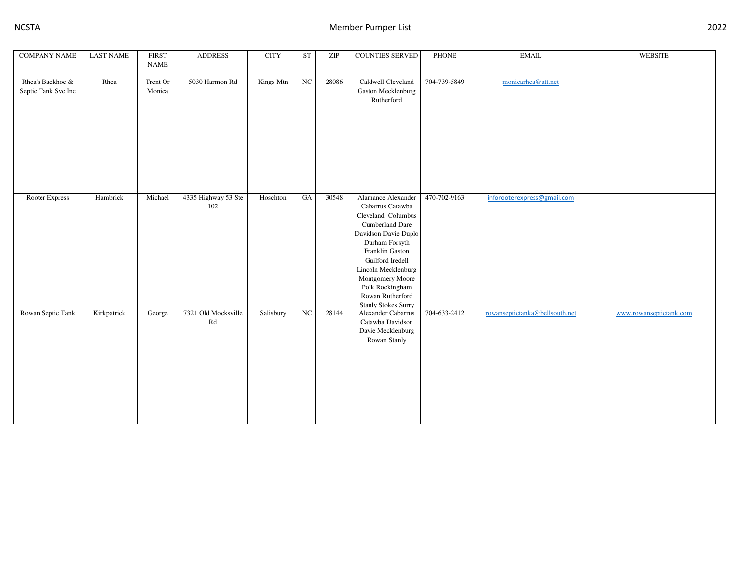| <b>COMPANY NAME</b>                     | <b>LAST NAME</b> | <b>FIRST</b><br><b>NAME</b> | <b>ADDRESS</b>                                    | <b>CITY</b> | <b>ST</b>        | $\ensuremath{\mathrm{ZIP}}$ | <b>COUNTIES SERVED</b>                                                                                                                                                                                                                                                           | <b>PHONE</b> | <b>EMAIL</b>                   | WEBSITE                 |
|-----------------------------------------|------------------|-----------------------------|---------------------------------------------------|-------------|------------------|-----------------------------|----------------------------------------------------------------------------------------------------------------------------------------------------------------------------------------------------------------------------------------------------------------------------------|--------------|--------------------------------|-------------------------|
| Rhea's Backhoe &<br>Septic Tank Svc Inc | Rhea             | Trent Or<br>Monica          | 5030 Harmon Rd                                    | Kings Mtn   | $_{\rm NC}$      | 28086                       | Caldwell Cleveland<br>Gaston Mecklenburg<br>Rutherford                                                                                                                                                                                                                           | 704-739-5849 | monicarhea@att.net             |                         |
| Rooter Express                          | Hambrick         | Michael                     | 4335 Highway 53 Ste<br>102                        | Hoschton    | $_{\mathrm{GA}}$ | 30548                       | Alamance Alexander<br>Cabarrus Catawba<br>Cleveland Columbus<br>Cumberland Dare<br>Davidson Davie Duplo<br>Durham Forsyth<br>Franklin Gaston<br>Guilford Iredell<br>Lincoln Mecklenburg<br>Montgomery Moore<br>Polk Rockingham<br>Rowan Rutherford<br><b>Stanly Stokes Surry</b> | 470-702-9163 | inforooterexpress@gmail.com    |                         |
| Rowan Septic Tank                       | Kirkpatrick      | George                      | 7321 Old Mocksville<br>$\mathop{\rm Rd}\nolimits$ | Salisbury   | $_{\mathrm{NC}}$ | 28144                       | Alexander Cabarrus<br>Catawba Davidson<br>Davie Mecklenburg<br>Rowan Stanly                                                                                                                                                                                                      | 704-633-2412 | rowanseptictanka@bellsouth.net | www.rowanseptictank.com |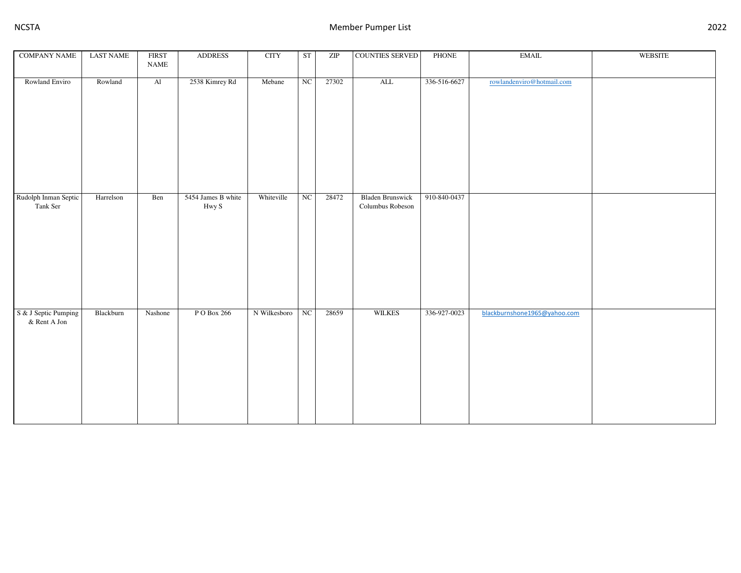| <b>COMPANY NAME</b>                     | <b>LAST NAME</b> | <b>FIRST</b><br><b>NAME</b> | <b>ADDRESS</b>              | <b>CITY</b>  | <b>ST</b>   | $\ensuremath{\mathrm{ZIP}}$ | <b>COUNTIES SERVED</b>                      | PHONE        | <b>EMAIL</b>                 | <b>WEBSITE</b> |
|-----------------------------------------|------------------|-----------------------------|-----------------------------|--------------|-------------|-----------------------------|---------------------------------------------|--------------|------------------------------|----------------|
|                                         |                  |                             |                             |              |             |                             |                                             |              |                              |                |
| Rowland Enviro                          | Rowland          | $\overline{Al}$             | 2538 Kimrey Rd              | Mebane       | NC          | 27302                       | $\overline{\mathrm{ALL}}$                   | 336-516-6627 | rowlandenviro@hotmail.com    |                |
| Rudolph Inman Septic<br>Tank Ser        | Harrelson        | Ben                         | 5454 James B white<br>Hwy S | Whiteville   | NC          | 28472                       | <b>Bladen Brunswick</b><br>Columbus Robeson | 910-840-0437 |                              |                |
| S & J Septic Pumping<br>$\&$ Rent A Jon | Blackburn        | Nashone                     | P O Box 266                 | N Wilkesboro | $_{\rm NC}$ | 28659                       | <b>WILKES</b>                               | 336-927-0023 | blackburnshone1965@yahoo.com |                |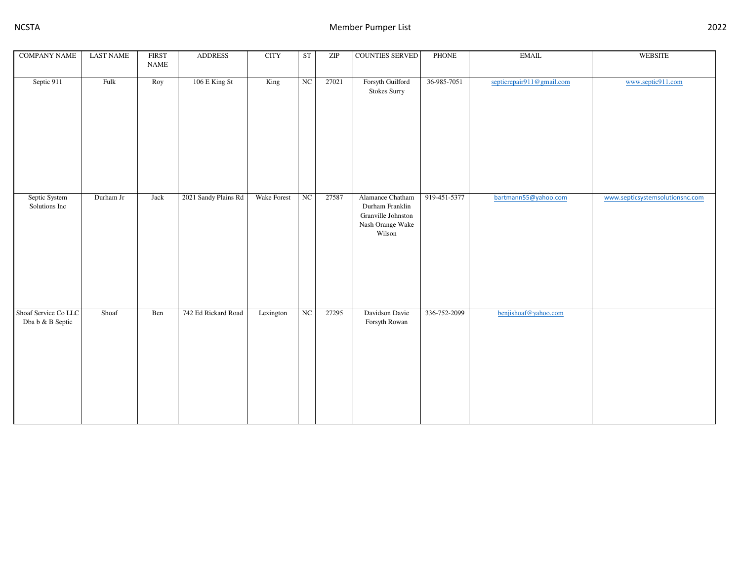| <b>COMPANY NAME</b>                      | <b>LAST NAME</b> | <b>FIRST</b><br>$\ensuremath{\mathsf{NAME}}$ | <b>ADDRESS</b>       | <b>CITY</b>       | <b>ST</b>              | $\ensuremath{\mathrm{ZIP}}$ | <b>COUNTIES SERVED</b>                                                                  | PHONE        | <b>EMAIL</b>              | <b>WEBSITE</b>                  |
|------------------------------------------|------------------|----------------------------------------------|----------------------|-------------------|------------------------|-----------------------------|-----------------------------------------------------------------------------------------|--------------|---------------------------|---------------------------------|
|                                          |                  |                                              |                      |                   |                        |                             |                                                                                         |              |                           |                                 |
| Septic 911                               | Fulk             | Roy                                          | 106 E King St        | $\overline{King}$ | $\overline{\text{NC}}$ | 27021                       | Forsyth Guilford<br><b>Stokes Surry</b>                                                 | 36-985-7051  | septicrepair911@gmail.com | www.septic911.com               |
| Septic System<br>Solutions Inc           | Durham Jr        | Jack                                         | 2021 Sandy Plains Rd | Wake Forest       | NC                     | 27587                       | Alamance Chatham<br>Durham Franklin<br>Granville Johnston<br>Nash Orange Wake<br>Wilson | 919-451-5377 | bartmann55@yahoo.com      | www.septicsystemsolutionsnc.com |
| Shoaf Service Co LLC<br>Dba b & B Septic | Shoaf            | Ben                                          | 742 Ed Rickard Road  | Lexington         | NC                     | 27295                       | Davidson Davie<br>Forsyth Rowan                                                         | 336-752-2099 | benjishoaf@yahoo.com      |                                 |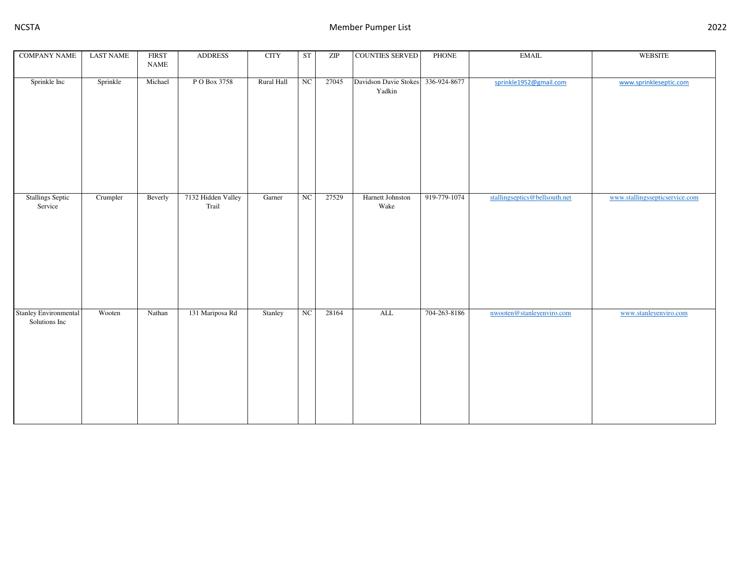| <b>COMPANY NAME</b>                           | <b>LAST NAME</b> | <b>FIRST</b><br><b>NAME</b> | <b>ADDRESS</b>              | <b>CITY</b> | <b>ST</b>   | $\ensuremath{\mathrm{ZIP}}$ | <b>COUNTIES SERVED</b>          | PHONE        | <b>EMAIL</b>                  | <b>WEBSITE</b>                 |
|-----------------------------------------------|------------------|-----------------------------|-----------------------------|-------------|-------------|-----------------------------|---------------------------------|--------------|-------------------------------|--------------------------------|
| Sprinkle Inc                                  | Sprinkle         | Michael                     | P O Box 3758                | Rural Hall  | NC          | 27045                       | Davidson Davie Stokes<br>Yadkin | 336-924-8677 | sprinkle1952@gmail.com        | www.sprinkleseptic.com         |
|                                               |                  |                             |                             |             |             |                             |                                 |              |                               |                                |
| <b>Stallings Septic</b><br>Service            | Crumpler         | Beverly                     | 7132 Hidden Valley<br>Trail | Garner      | NC          | 27529                       | Harnett Johnston<br>Wake        | 919-779-1074 | stallingseptics@bellsouth.net | www.stallingssepticservice.com |
| <b>Stanley Environmental</b><br>Solutions Inc | Wooten           | Nathan                      | 131 Mariposa Rd             | Stanley     | $_{\rm NC}$ | 28164                       | $\overline{\text{ALL}}$         | 704-263-8186 | nwooten@stanleyenviro.com     | www.stanleyenviro.com          |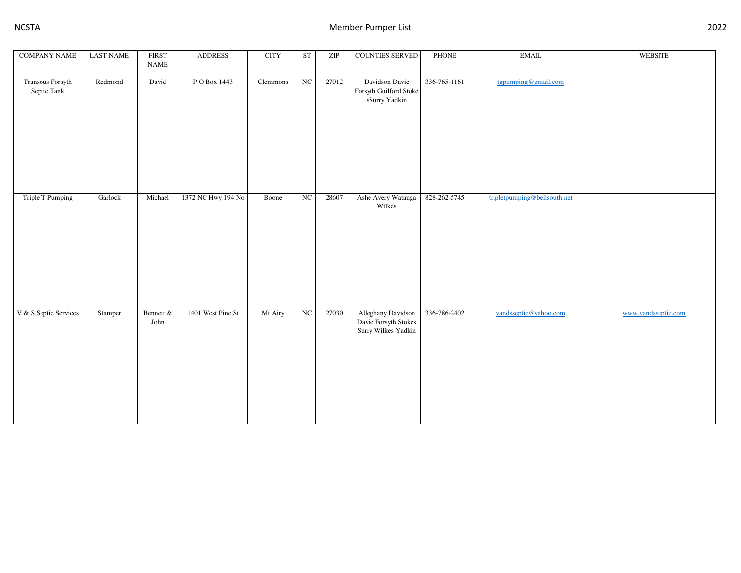| <b>COMPANY NAME</b>             | <b>LAST NAME</b> | <b>FIRST</b><br>$\ensuremath{\mathsf{NAME}}$ | <b>ADDRESS</b>     | <b>CITY</b> | <b>ST</b> | ZIP   | <b>COUNTIES SERVED</b>                                                     | <b>PHONE</b> | <b>EMAIL</b>                 | <b>WEBSITE</b>      |
|---------------------------------|------------------|----------------------------------------------|--------------------|-------------|-----------|-------|----------------------------------------------------------------------------|--------------|------------------------------|---------------------|
| Transous Forsyth<br>Septic Tank | Redmond          | David                                        | P O Box 1443       | Clemmons    | NC        | 27012 | Davidson Davie<br>Forsyth Guilford Stoke<br>$\operatorname{sSurry}$ Yadkin | 336-765-1161 | tgpumping@gmail.com          |                     |
| Triple T Pumping                | Garlock          | Michael                                      | 1372 NC Hwy 194 No | Boone       | NC        | 28607 | Ashe Avery Watauga<br>Wilkes                                               | 828-262-5745 | tripletpumping@bellsouth.net |                     |
| V & S Septic Services           | Stamper          | Bennett &<br>John                            | 1401 West Pine St  | Mt Airy     | $\rm NC$  | 27030 | Alleghany Davidson<br>Davie Forsyth Stokes<br>Surry Wilkes Yadkin          | 336-786-2402 | vandsseptic@yahoo.com        | www.vandsseptic.com |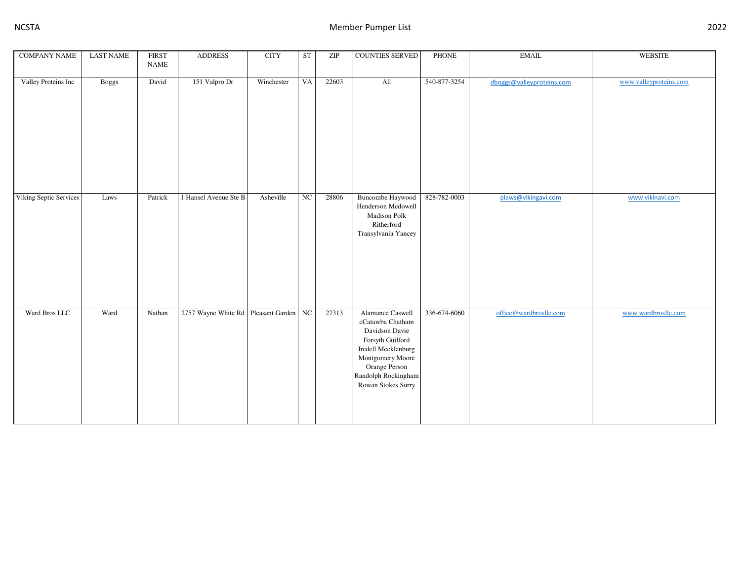| <b>COMPANY NAME</b>    | <b>LAST NAME</b> | <b>FIRST</b><br><b>NAME</b> | <b>ADDRESS</b>                         | <b>CITY</b> | ST               | $\ensuremath{\mathrm{ZIP}}$ | <b>COUNTIES SERVED</b>                                                                                                                                                              | PHONE        | <b>EMAIL</b>              | <b>WEBSITE</b>         |
|------------------------|------------------|-----------------------------|----------------------------------------|-------------|------------------|-----------------------------|-------------------------------------------------------------------------------------------------------------------------------------------------------------------------------------|--------------|---------------------------|------------------------|
| Valley Proteins Inc    | <b>Boggs</b>     | David                       | 151 Valpro Dr                          | Winchester  | VA               | 22603                       | All                                                                                                                                                                                 | 540-877-3254 | dboggs@valleyproteins.com | www.valleyproteins.com |
| Viking Septic Services | Laws             | Patrick                     | 1 Hansel Avenue Ste B                  | Asheville   | $_{\mathrm{NC}}$ | 28806                       | <b>Buncombe Haywood</b><br>Henderson Mcdowell<br><b>Madison Polk</b><br>Ritherford<br>Transylvania Yancey                                                                           | 828-782-0003 | plaws@vikingavi.com       | www.vikinavi.com       |
| Ward Bros LLC          | Ward             | Nathan                      | 2757 Wayne White Rd Pleasant Garden NC |             |                  | 27313                       | Alamance Caswell<br>cCatawba Chatham<br>Davidson Davie<br>Forsyth Guilford<br>Iredell Mecklenburg<br>Montgomery Moore<br>Orange Person<br>Randolph Rockingham<br>Rowan Stokes Surry | 336-674-6060 | office@wardbrosllc.com    | www.wardbrosllc.com    |